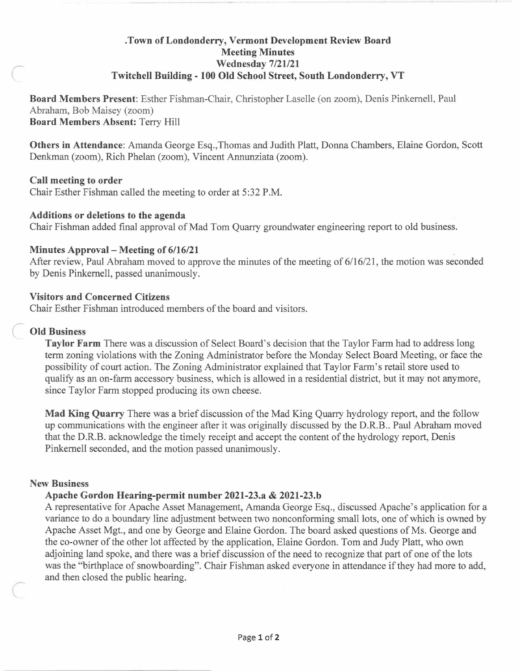# **. Town of Londonderry, Vermont Development Review Board Meeting Minutes Wednesday 7/21/21 Twitchell Building - 100 Old School Street, South Londonderry, VT**

**Board Members Present:** Esther Fishman-Chair, Christopher Laselle ( on zoom), Denis Pinkemell, Paul Abraham, Bob Maisey (zoom) **Board Members Absent:** Terry Hill

**Others in Attendance:** Amanda George Esq.,Thomas and Judith Platt, Donna Chambers, Elaine Gordon, Scott Denkman (zoom), Rich Phelan (zoom), Vincent Annunziata (zoom).

# **Call meeting to order**

 $\epsilon$ 

Chair Esther Fishman called the meeting to order at 5:32 P.M.

### **Additions or deletions to the agenda**

Chair Fishman added final approval of Mad Tom Quarry groundwater engineering report to old business.

## **Minutes Approval - Meeting of 6/16/21**

After review, Paul Abraham moved to approve the minutes of the meeting of 6/16/21, the motion was seconded by Denis Pinkemell, passed unanimously.

### **Visitors and Concerned Citizens**

Chair Esther Fishman introduced members of the board and visitors.

### **Old Business**

**Taylor Farm** There was a discussion of Select Board's decision that the Taylor Farm had to address long term zoning violations with the Zoning Administrator before the Monday Select Board Meeting, or face the possibility of court action. The Zoning Administrator explained that Taylor Farm's retail store used to qualify as an on-farm accessory business, which is allowed in a residential district, but it may not anymore, since Taylor Farm stopped producing its own cheese.

**Mad King Quarry** There was a brief discussion of the Mad King Quarry hydrology report, and the follow up communications with the engineer after it was originally discussed by the D.R.B.. Paul Abraham moved that the D.R.B. acknowledge the timely receipt and accept the content of the hydrology report, Denis Pinkemell seconded, and the motion passed unanimously.

#### **New Business**

*r* 

## **Apache Gordon Hearing-permit number 2021-23.a & 2021-23.b**

A representative for Apache Asset Management, Amanda George Esq., discussed Apache's application for a variance to do a boundary line adjustment between two nonconforming small lots, one of which is owned by Apache Asset Mgt., and one by George and Elaine Gordon. The board asked questions of Ms. George and the co-owner of the other lot affected by the application, Elaine Gordon. Tom and Judy Platt, who own adjoining land spoke, and there was a brief discussion of the need to recognize that part of one of the lots was the "birthplace of snowboarding". Chair Fishman asked everyone in attendance if they had more to add, and then closed the public hearing.